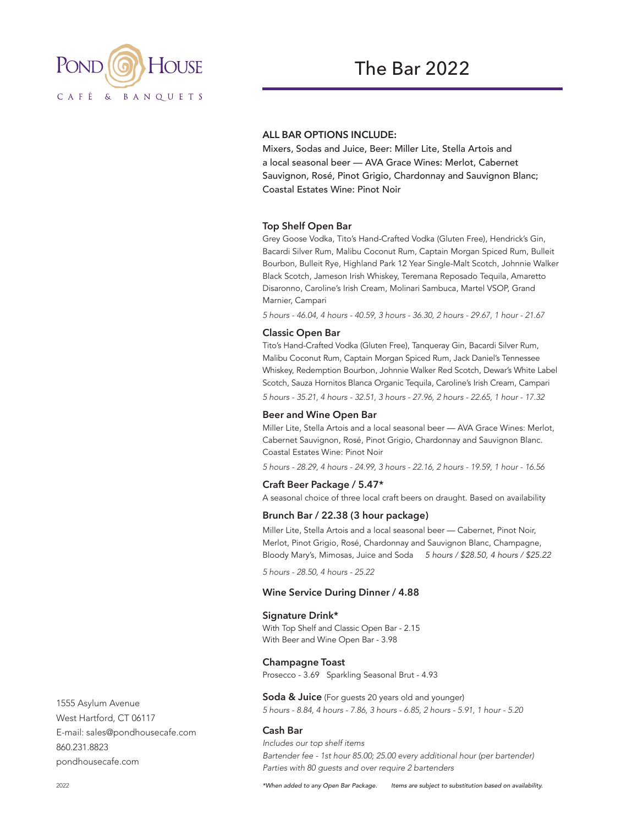

# **ALL BAR OPTIONS INCLUDE:**

Mixers, Sodas and Juice, Beer: Miller Lite, Stella Artois and a local seasonal beer — AVA Grace Wines: Merlot, Cabernet Sauvignon, Rosé, Pinot Grigio, Chardonnay and Sauvignon Blanc; Coastal Estates Wine: Pinot Noir

#### **Top Shelf Open Bar**

Grey Goose Vodka, Tito's Hand-Crafted Vodka (Gluten Free), Hendrick's Gin, Bacardi Silver Rum, Malibu Coconut Rum, Captain Morgan Spiced Rum, Bulleit Bourbon, Bulleit Rye, Highland Park 12 Year Single-Malt Scotch, Johnnie Walker Black Scotch, Jameson Irish Whiskey, Teremana Reposado Tequila, Amaretto Disaronno, Caroline's Irish Cream, Molinari Sambuca, Martel VSOP, Grand Marnier, Campari

*5 hours - 46.04, 4 hours - 40.59, 3 hours - 36.30, 2 hours - 29.67, 1 hour - 21.67*

#### **Classic Open Bar**

Tito's Hand-Crafted Vodka (Gluten Free), Tanqueray Gin, Bacardi Silver Rum, Malibu Coconut Rum, Captain Morgan Spiced Rum, Jack Daniel's Tennessee Whiskey, Redemption Bourbon, Johnnie Walker Red Scotch, Dewar's White Label Scotch, Sauza Hornitos Blanca Organic Tequila, Caroline's Irish Cream, Campari *5 hours - 35.21, 4 hours - 32.51, 3 hours - 27.96, 2 hours - 22.65, 1 hour - 17.32*

#### **Beer and Wine Open Bar**

Miller Lite, Stella Artois and a local seasonal beer — AVA Grace Wines: Merlot, Cabernet Sauvignon, Rosé, Pinot Grigio, Chardonnay and Sauvignon Blanc. Coastal Estates Wine: Pinot Noir

*5 hours - 28.29, 4 hours - 24.99, 3 hours - 22.16, 2 hours - 19.59, 1 hour - 16.56*

#### **Craft Beer Package / 5.47\***

A seasonal choice of three local craft beers on draught. Based on availability

## **Brunch Bar / 22.38 (3 hour package)**

Miller Lite, Stella Artois and a local seasonal beer — Cabernet, Pinot Noir, Merlot, Pinot Grigio, Rosé, Chardonnay and Sauvignon Blanc, Champagne, Bloody Mary's, Mimosas, Juice and Soda *5 hours / \$28.50, 4 hours / \$25.22*

*5 hours - 28.50, 4 hours - 25.22*

#### **Wine Service During Dinner / 4.88**

#### **Signature Drink\***

With Top Shelf and Classic Open Bar - 2.15 With Beer and Wine Open Bar - 3.98

#### **Champagne Toast**

Prosecco - 3.69 Sparkling Seasonal Brut - 4.93

**Soda & Juice** (For guests 20 years old and younger) *5 hours - 8.84, 4 hours - 7.86, 3 hours - 6.85, 2 hours - 5.91, 1 hour - 5.20*

### **Cash Bar**

*Includes our top shelf items Bartender fee - 1st hour 85.00; 25.00 every additional hour (per bartender) Parties with 80 guests and over require 2 bartenders*

1555 Asylum Avenue West Hartford, CT 06117 E-mail: sales@pondhousecafe.com 860.231.8823 pondhousecafe.com